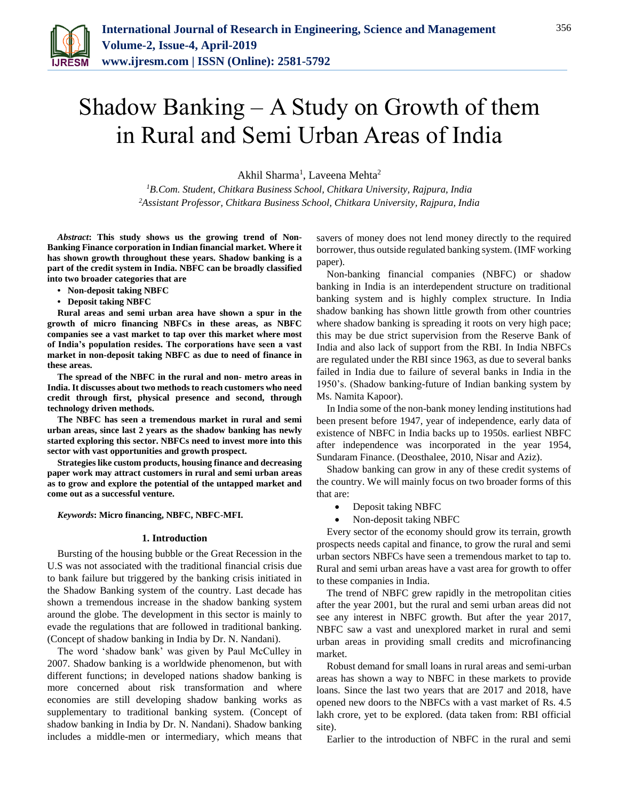

# Shadow Banking – A Study on Growth of them in Rural and Semi Urban Areas of India

Akhil Sharma<sup>1</sup>, Laveena Mehta<sup>2</sup>

*<sup>1</sup>B.Com. Student, Chitkara Business School, Chitkara University, Rajpura, India 2Assistant Professor, Chitkara Business School, Chitkara University, Rajpura, India*

*Abstract***: This study shows us the growing trend of Non-Banking Finance corporation in Indian financial market. Where it has shown growth throughout these years. Shadow banking is a part of the credit system in India. NBFC can be broadly classified into two broader categories that are** 

- **• Non-deposit taking NBFC**
- **• Deposit taking NBFC**

**Rural areas and semi urban area have shown a spur in the growth of micro financing NBFCs in these areas, as NBFC companies see a vast market to tap over this market where most of India's population resides. The corporations have seen a vast market in non-deposit taking NBFC as due to need of finance in these areas.**

**The spread of the NBFC in the rural and non- metro areas in India. It discusses about two methods to reach customers who need credit through first, physical presence and second, through technology driven methods.**

**The NBFC has seen a tremendous market in rural and semi urban areas, since last 2 years as the shadow banking has newly started exploring this sector. NBFCs need to invest more into this sector with vast opportunities and growth prospect.**

**Strategies like custom products, housing finance and decreasing paper work may attract customers in rural and semi urban areas as to grow and explore the potential of the untapped market and come out as a successful venture.**

#### *Keywords***: Micro financing, NBFC, NBFC-MFI.**

#### **1. Introduction**

Bursting of the housing bubble or the Great Recession in the U.S was not associated with the traditional financial crisis due to bank failure but triggered by the banking crisis initiated in the Shadow Banking system of the country. Last decade has shown a tremendous increase in the shadow banking system around the globe. The development in this sector is mainly to evade the regulations that are followed in traditional banking. (Concept of shadow banking in India by Dr. N. Nandani).

The word 'shadow bank' was given by Paul McCulley in 2007. Shadow banking is a worldwide phenomenon, but with different functions; in developed nations shadow banking is more concerned about risk transformation and where economies are still developing shadow banking works as supplementary to traditional banking system. (Concept of shadow banking in India by Dr. N. Nandani). Shadow banking includes a middle-men or intermediary, which means that

savers of money does not lend money directly to the required borrower, thus outside regulated banking system. (IMF working paper).

Non-banking financial companies (NBFC) or shadow banking in India is an interdependent structure on traditional banking system and is highly complex structure. In India shadow banking has shown little growth from other countries where shadow banking is spreading it roots on very high pace; this may be due strict supervision from the Reserve Bank of India and also lack of support from the RBI. In India NBFCs are regulated under the RBI since 1963, as due to several banks failed in India due to failure of several banks in India in the 1950's. (Shadow banking-future of Indian banking system by Ms. Namita Kapoor).

In India some of the non-bank money lending institutions had been present before 1947, year of independence, early data of existence of NBFC in India backs up to 1950s. earliest NBFC after independence was incorporated in the year 1954, Sundaram Finance. (Deosthalee, 2010, Nisar and Aziz).

Shadow banking can grow in any of these credit systems of the country. We will mainly focus on two broader forms of this that are:

- Deposit taking NBFC
- Non-deposit taking NBFC

Every sector of the economy should grow its terrain, growth prospects needs capital and finance, to grow the rural and semi urban sectors NBFCs have seen a tremendous market to tap to. Rural and semi urban areas have a vast area for growth to offer to these companies in India.

The trend of NBFC grew rapidly in the metropolitan cities after the year 2001, but the rural and semi urban areas did not see any interest in NBFC growth. But after the year 2017, NBFC saw a vast and unexplored market in rural and semi urban areas in providing small credits and microfinancing market.

Robust demand for small loans in rural areas and semi-urban areas has shown a way to NBFC in these markets to provide loans. Since the last two years that are 2017 and 2018, have opened new doors to the NBFCs with a vast market of Rs. 4.5 lakh crore, yet to be explored. (data taken from: RBI official site).

Earlier to the introduction of NBFC in the rural and semi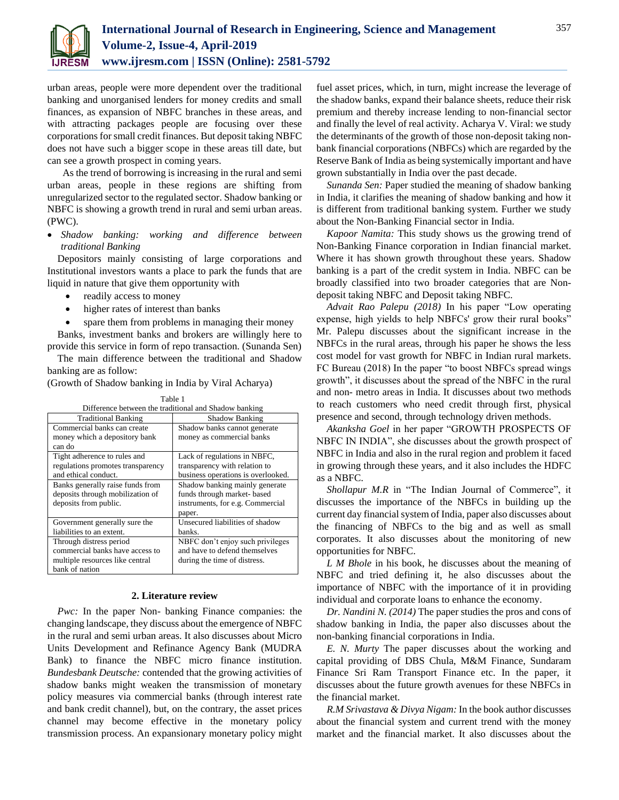

urban areas, people were more dependent over the traditional banking and unorganised lenders for money credits and small finances, as expansion of NBFC branches in these areas, and with attracting packages people are focusing over these corporations for small credit finances. But deposit taking NBFC does not have such a bigger scope in these areas till date, but can see a growth prospect in coming years.

 As the trend of borrowing is increasing in the rural and semi urban areas, people in these regions are shifting from unregularized sector to the regulated sector. Shadow banking or NBFC is showing a growth trend in rural and semi urban areas. (PWC).

 *Shadow banking: working and difference between traditional Banking*

Depositors mainly consisting of large corporations and Institutional investors wants a place to park the funds that are liquid in nature that give them opportunity with

- readily access to money
- higher rates of interest than banks
- spare them from problems in managing their money

Banks, investment banks and brokers are willingly here to provide this service in form of repo transaction. (Sunanda Sen)

The main difference between the traditional and Shadow banking are as follow:

(Growth of Shadow banking in India by Viral Acharya)

| Table 1                                               |                                    |
|-------------------------------------------------------|------------------------------------|
| Difference between the traditional and Shadow banking |                                    |
| <b>Traditional Banking</b>                            | <b>Shadow Banking</b>              |
| Commercial banks can create                           | Shadow banks cannot generate       |
| money which a depository bank                         | money as commercial banks          |
| can do                                                |                                    |
| Tight adherence to rules and                          | Lack of regulations in NBFC,       |
| regulations promotes transparency                     | transparency with relation to      |
| and ethical conduct.                                  | business operations is overlooked. |
| Banks generally raise funds from                      | Shadow banking mainly generate     |
| deposits through mobilization of                      | funds through market-based         |
| deposits from public.                                 | instruments, for e.g. Commercial   |
|                                                       | paper.                             |
| Government generally sure the                         | Unsecured liabilities of shadow    |
| liabilities to an extent.                             | banks.                             |
| Through distress period                               | NBFC don't enjoy such privileges   |
| commercial banks have access to                       | and have to defend themselves      |
| multiple resources like central                       | during the time of distress.       |
| bank of nation                                        |                                    |

## **2. Literature review**

*Pwc:* In the paper Non- banking Finance companies: the changing landscape, they discuss about the emergence of NBFC in the rural and semi urban areas. It also discusses about Micro Units Development and Refinance Agency Bank (MUDRA Bank) to finance the NBFC micro finance institution. *Bundesbank Deutsche:* contended that the growing activities of shadow banks might weaken the transmission of monetary policy measures via commercial banks (through interest rate and bank credit channel), but, on the contrary, the asset prices channel may become effective in the monetary policy transmission process. An expansionary monetary policy might fuel asset prices, which, in turn, might increase the leverage of the shadow banks, expand their balance sheets, reduce their risk premium and thereby increase lending to non-financial sector and finally the level of real activity. Acharya V. Viral: we study the determinants of the growth of those non-deposit taking nonbank financial corporations (NBFCs) which are regarded by the Reserve Bank of India as being systemically important and have grown substantially in India over the past decade.

*Sunanda Sen:* Paper studied the meaning of shadow banking in India, it clarifies the meaning of shadow banking and how it is different from traditional banking system. Further we study about the Non-Banking Financial sector in India.

*Kapoor Namita:* This study shows us the growing trend of Non-Banking Finance corporation in Indian financial market. Where it has shown growth throughout these years. Shadow banking is a part of the credit system in India. NBFC can be broadly classified into two broader categories that are Nondeposit taking NBFC and Deposit taking NBFC.

*Advait Rao Palepu (2018)* In his paper "Low operating expense, high yields to help NBFCs' grow their rural books" Mr. Palepu discusses about the significant increase in the NBFCs in the rural areas, through his paper he shows the less cost model for vast growth for NBFC in Indian rural markets. FC Bureau (2018) In the paper "to boost NBFCs spread wings growth", it discusses about the spread of the NBFC in the rural and non- metro areas in India. It discusses about two methods to reach customers who need credit through first, physical presence and second, through technology driven methods.

*Akanksha Goel* in her paper "GROWTH PROSPECTS OF NBFC IN INDIA", she discusses about the growth prospect of NBFC in India and also in the rural region and problem it faced in growing through these years, and it also includes the HDFC as a NBFC.

*Shollapur M.R* in "The Indian Journal of Commerce", it discusses the importance of the NBFCs in building up the current day financial system of India, paper also discusses about the financing of NBFCs to the big and as well as small corporates. It also discusses about the monitoring of new opportunities for NBFC.

*L M Bhole* in his book, he discusses about the meaning of NBFC and tried defining it, he also discusses about the importance of NBFC with the importance of it in providing individual and corporate loans to enhance the economy.

*Dr. Nandini N. (2014)* The paper studies the pros and cons of shadow banking in India, the paper also discusses about the non-banking financial corporations in India.

*E. N. Murty* The paper discusses about the working and capital providing of DBS Chula, M&M Finance, Sundaram Finance Sri Ram Transport Finance etc. In the paper, it discusses about the future growth avenues for these NBFCs in the financial market.

*R.M Srivastava & Divya Nigam:* In the book author discusses about the financial system and current trend with the money market and the financial market. It also discusses about the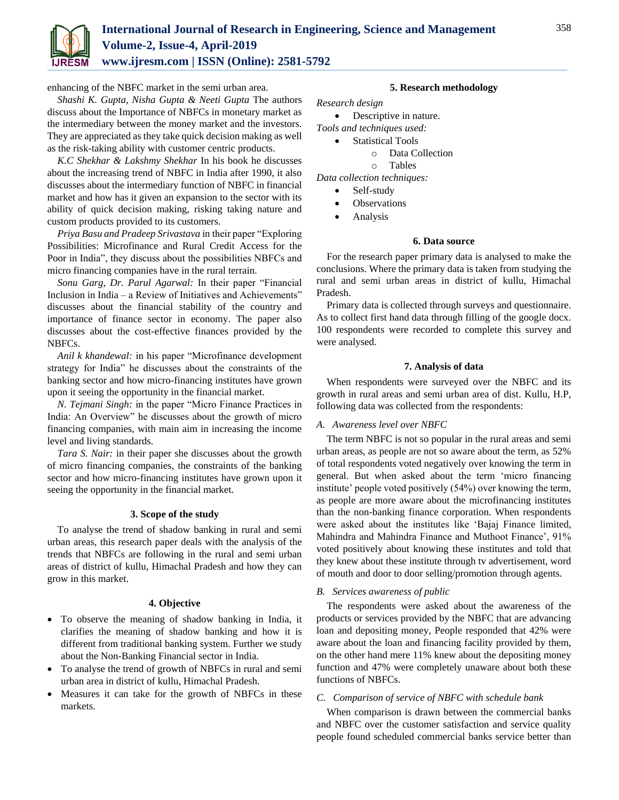

enhancing of the NBFC market in the semi urban area.

*Shashi K. Gupta, Nisha Gupta & Neeti Gupta* The authors discuss about the Importance of NBFCs in monetary market as the intermediary between the money market and the investors. They are appreciated as they take quick decision making as well as the risk-taking ability with customer centric products.

*K.C Shekhar & Lakshmy Shekhar* In his book he discusses about the increasing trend of NBFC in India after 1990, it also discusses about the intermediary function of NBFC in financial market and how has it given an expansion to the sector with its ability of quick decision making, risking taking nature and custom products provided to its customers.

*Priya Basu and Pradeep Srivastava* in their paper "Exploring Possibilities: Microfinance and Rural Credit Access for the Poor in India", they discuss about the possibilities NBFCs and micro financing companies have in the rural terrain.

*Sonu Garg, Dr. Parul Agarwal:* In their paper "Financial Inclusion in India – a Review of Initiatives and Achievements" discusses about the financial stability of the country and importance of finance sector in economy. The paper also discusses about the cost-effective finances provided by the NBFCs.

*Anil k khandewal:* in his paper "Microfinance development strategy for India" he discusses about the constraints of the banking sector and how micro-financing institutes have grown upon it seeing the opportunity in the financial market.

*N. Tejmani Singh:* in the paper "Micro Finance Practices in India: An Overview" he discusses about the growth of micro financing companies, with main aim in increasing the income level and living standards.

*Tara S. Nair:* in their paper she discusses about the growth of micro financing companies, the constraints of the banking sector and how micro-financing institutes have grown upon it seeing the opportunity in the financial market.

## **3. Scope of the study**

To analyse the trend of shadow banking in rural and semi urban areas, this research paper deals with the analysis of the trends that NBFCs are following in the rural and semi urban areas of district of kullu, Himachal Pradesh and how they can grow in this market.

#### **4. Objective**

- To observe the meaning of shadow banking in India, it clarifies the meaning of shadow banking and how it is different from traditional banking system. Further we study about the Non-Banking Financial sector in India.
- To analyse the trend of growth of NBFCs in rural and semi urban area in district of kullu, Himachal Pradesh.
- Measures it can take for the growth of NBFCs in these markets.

#### **5. Research methodology**

*Research design*

- Descriptive in nature.
- *Tools and techniques used:*
	- Statistical Tools
		- o Data Collection
		- o Tables

*Data collection techniques:*

- Self-study
- **Observations**
- Analysis

#### **6. Data source**

For the research paper primary data is analysed to make the conclusions. Where the primary data is taken from studying the rural and semi urban areas in district of kullu, Himachal Pradesh.

Primary data is collected through surveys and questionnaire. As to collect first hand data through filling of the google docx. 100 respondents were recorded to complete this survey and were analysed.

#### **7. Analysis of data**

When respondents were surveyed over the NBFC and its growth in rural areas and semi urban area of dist. Kullu, H.P, following data was collected from the respondents:

#### *A. Awareness level over NBFC*

The term NBFC is not so popular in the rural areas and semi urban areas, as people are not so aware about the term, as 52% of total respondents voted negatively over knowing the term in general. But when asked about the term 'micro financing institute' people voted positively (54%) over knowing the term, as people are more aware about the microfinancing institutes than the non-banking finance corporation. When respondents were asked about the institutes like 'Bajaj Finance limited, Mahindra and Mahindra Finance and Muthoot Finance', 91% voted positively about knowing these institutes and told that they knew about these institute through tv advertisement, word of mouth and door to door selling/promotion through agents.

#### *B. Services awareness of public*

The respondents were asked about the awareness of the products or services provided by the NBFC that are advancing loan and depositing money, People responded that 42% were aware about the loan and financing facility provided by them, on the other hand mere 11% knew about the depositing money function and 47% were completely unaware about both these functions of NBFCs.

#### *C. Comparison of service of NBFC with schedule bank*

When comparison is drawn between the commercial banks and NBFC over the customer satisfaction and service quality people found scheduled commercial banks service better than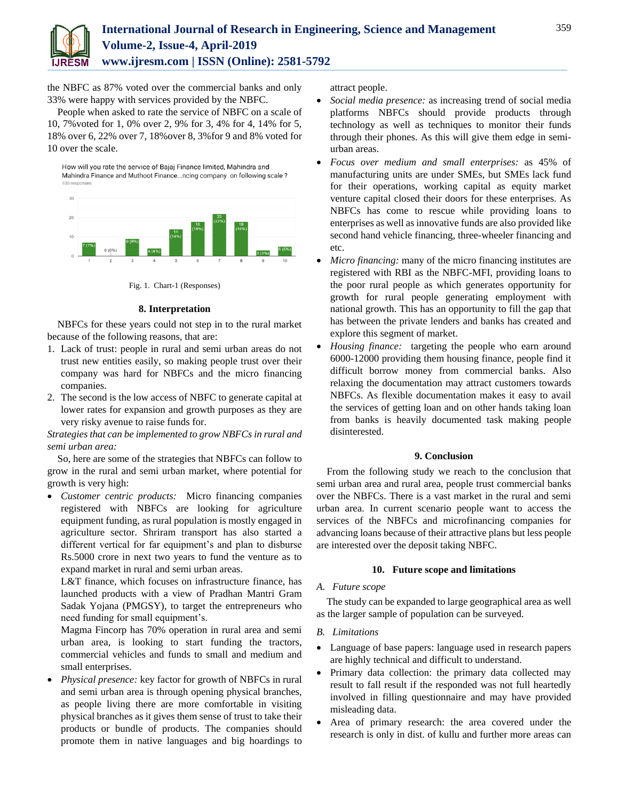

the NBFC as 87% voted over the commercial banks and only 33% were happy with services provided by the NBFC.

People when asked to rate the service of NBFC on a scale of 10, 7%voted for 1, 0% over 2, 9% for 3, 4% for 4, 14% for 5, 18% over 6, 22% over 7, 18%over 8, 3%for 9 and 8% voted for 10 over the scale.

How will you rate the service of Bajaj Finance limited, Mahindra and Mahindra Finance and Muthoot Finance...ncing company on following scale?



Fig. 1. Chart-1 (Responses)

## **8. Interpretation**

NBFCs for these years could not step in to the rural market because of the following reasons, that are:

- 1. Lack of trust: people in rural and semi urban areas do not trust new entities easily, so making people trust over their company was hard for NBFCs and the micro financing companies.
- 2. The second is the low access of NBFC to generate capital at lower rates for expansion and growth purposes as they are very risky avenue to raise funds for.

*Strategies that can be implemented to grow NBFCs in rural and semi urban area:*

So, here are some of the strategies that NBFCs can follow to grow in the rural and semi urban market, where potential for growth is very high:

 *Customer centric products:* Micro financing companies registered with NBFCs are looking for agriculture equipment funding, as rural population is mostly engaged in agriculture sector. Shriram transport has also started a different vertical for far equipment's and plan to disburse Rs.5000 crore in next two years to fund the venture as to expand market in rural and semi urban areas.

L&T finance, which focuses on infrastructure finance, has launched products with a view of Pradhan Mantri Gram Sadak Yojana (PMGSY), to target the entrepreneurs who need funding for small equipment's.

Magma Fincorp has 70% operation in rural area and semi urban area, is looking to start funding the tractors, commercial vehicles and funds to small and medium and small enterprises.

 *Physical presence:* key factor for growth of NBFCs in rural and semi urban area is through opening physical branches, as people living there are more comfortable in visiting physical branches as it gives them sense of trust to take their products or bundle of products. The companies should promote them in native languages and big hoardings to

attract people.

- *Social media presence:* as increasing trend of social media platforms NBFCs should provide products through technology as well as techniques to monitor their funds through their phones. As this will give them edge in semiurban areas.
- *Focus over medium and small enterprises:* as 45% of manufacturing units are under SMEs, but SMEs lack fund for their operations, working capital as equity market venture capital closed their doors for these enterprises. As NBFCs has come to rescue while providing loans to enterprises as well as innovative funds are also provided like second hand vehicle financing, three-wheeler financing and etc.
- *Micro financing:* many of the micro financing institutes are registered with RBI as the NBFC-MFI, providing loans to the poor rural people as which generates opportunity for growth for rural people generating employment with national growth. This has an opportunity to fill the gap that has between the private lenders and banks has created and explore this segment of market.
- *Housing finance:* targeting the people who earn around 6000-12000 providing them housing finance, people find it difficult borrow money from commercial banks. Also relaxing the documentation may attract customers towards NBFCs. As flexible documentation makes it easy to avail the services of getting loan and on other hands taking loan from banks is heavily documented task making people disinterested.

## **9. Conclusion**

From the following study we reach to the conclusion that semi urban area and rural area, people trust commercial banks over the NBFCs. There is a vast market in the rural and semi urban area. In current scenario people want to access the services of the NBFCs and microfinancing companies for advancing loans because of their attractive plans but less people are interested over the deposit taking NBFC.

# **10. Future scope and limitations**

# *A. Future scope*

The study can be expanded to large geographical area as well as the larger sample of population can be surveyed.

# *B. Limitations*

- Language of base papers: language used in research papers are highly technical and difficult to understand.
- Primary data collection: the primary data collected may result to fall result if the responded was not full heartedly involved in filling questionnaire and may have provided misleading data.
- Area of primary research: the area covered under the research is only in dist. of kullu and further more areas can